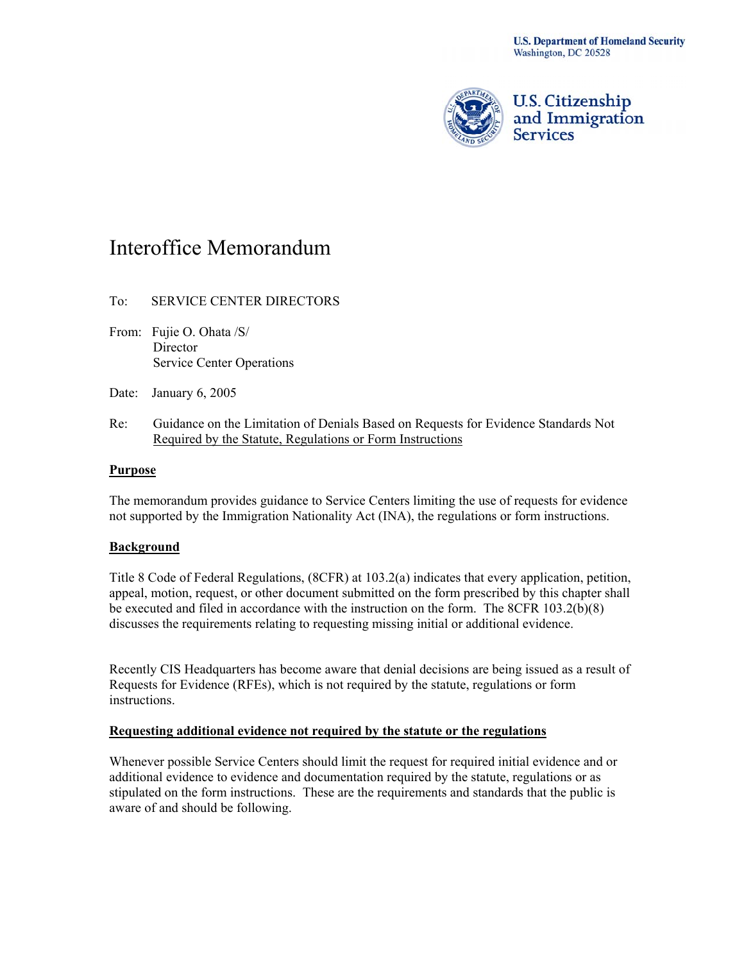

U.S. Citizenship<br>and Immigration **Services** 

# Interoffice Memorandum

## To: SERVICE CENTER DIRECTORS

- From: Fujie O. Ohata /S/ Director Service Center Operations
- Date: January 6, 2005
- Re: Guidance on the Limitation of Denials Based on Requests for Evidence Standards Not Required by the Statute, Regulations or Form Instructions

### **Purpose**

The memorandum provides guidance to Service Centers limiting the use of requests for evidence not supported by the Immigration Nationality Act (INA), the regulations or form instructions.

#### **Background**

Title 8 Code of Federal Regulations, (8CFR) at 103.2(a) indicates that every application, petition, appeal, motion, request, or other document submitted on the form prescribed by this chapter shall be executed and filed in accordance with the instruction on the form. The 8CFR 103.2(b)(8) discusses the requirements relating to requesting missing initial or additional evidence.

Recently CIS Headquarters has become aware that denial decisions are being issued as a result of Requests for Evidence (RFEs), which is not required by the statute, regulations or form instructions.

#### **Requesting additional evidence not required by the statute or the regulations**

Whenever possible Service Centers should limit the request for required initial evidence and or additional evidence to evidence and documentation required by the statute, regulations or as stipulated on the form instructions. These are the requirements and standards that the public is aware of and should be following.